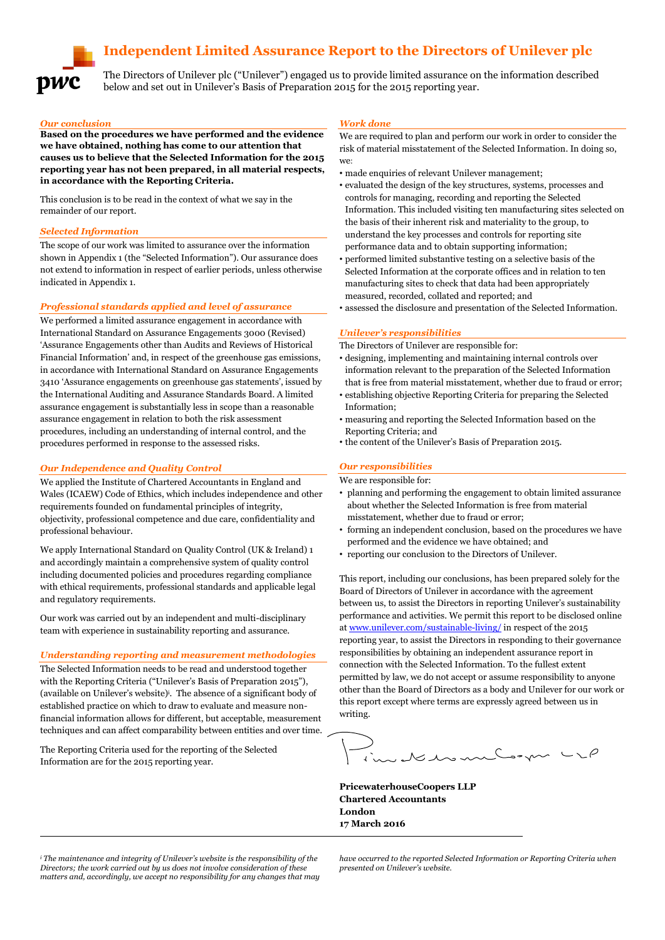# **Independent Limited Assurance Report to the Directors of Unilever plc**



The Directors of Unilever plc ("Unilever") engaged us to provide limited assurance on the information described below and set out in Unilever's Basis of Preparation 2015 for the 2015 reporting year.

#### *Our conclusion*

**Based on the procedures we have performed and the evidence we have obtained, nothing has come to our attention that causes us to believe that the Selected Information for the 2015 reporting year has not been prepared, in all material respects, in accordance with the Reporting Criteria.**

This conclusion is to be read in the context of what we say in the remainder of our report.

### *Selected Information*

The scope of our work was limited to assurance over the information shown in Appendix 1 (the "Selected Information"). Our assurance does not extend to information in respect of earlier periods, unless otherwise indicated in Appendix 1.

#### *Professional standards applied and level of assurance*

We performed a limited assurance engagement in accordance with International Standard on Assurance Engagements 3000 (Revised) 'Assurance Engagements other than Audits and Reviews of Historical Financial Information' and, in respect of the greenhouse gas emissions, in accordance with International Standard on Assurance Engagements 3410 'Assurance engagements on greenhouse gas statements', issued by the International Auditing and Assurance Standards Board. A limited assurance engagement is substantially less in scope than a reasonable assurance engagement in relation to both the risk assessment procedures, including an understanding of internal control, and the procedures performed in response to the assessed risks.

#### *Our Independence and Quality Control*

We applied the Institute of Chartered Accountants in England and Wales (ICAEW) Code of Ethics, which includes independence and other requirements founded on fundamental principles of integrity, objectivity, professional competence and due care, confidentiality and professional behaviour.

We apply International Standard on Quality Control (UK & Ireland) 1 and accordingly maintain a comprehensive system of quality control including documented policies and procedures regarding compliance with ethical requirements, professional standards and applicable legal and regulatory requirements.

Our work was carried out by an independent and multi-disciplinary team with experience in sustainability reporting and assurance.

#### *Understanding reporting and measurement methodologies*

The Selected Information needs to be read and understood together with the Reporting Criteria ("Unilever's Basis of Preparation 2015"), (available on Unilever's website)<sup>i</sup> . The absence of a significant body of established practice on which to draw to evaluate and measure nonfinancial information allows for different, but acceptable, measurement techniques and can affect comparability between entities and over time.

The Reporting Criteria used for the reporting of the Selected Information are for the 2015 reporting year.

-

#### *Work done*

We are required to plan and perform our work in order to consider the risk of material misstatement of the Selected Information. In doing so, we:

- made enquiries of relevant Unilever management;
- evaluated the design of the key structures, systems, processes and controls for managing, recording and reporting the Selected Information. This included visiting ten manufacturing sites selected on the basis of their inherent risk and materiality to the group, to understand the key processes and controls for reporting site performance data and to obtain supporting information;
- performed limited substantive testing on a selective basis of the Selected Information at the corporate offices and in relation to ten manufacturing sites to check that data had been appropriately measured, recorded, collated and reported; and
- assessed the disclosure and presentation of the Selected Information.

#### *Unilever's responsibilities*

The Directors of Unilever are responsible for:

- designing, implementing and maintaining internal controls over information relevant to the preparation of the Selected Information that is free from material misstatement, whether due to fraud or error;
- establishing objective Reporting Criteria for preparing the Selected Information;
- measuring and reporting the Selected Information based on the Reporting Criteria; and
- the content of the Unilever's Basis of Preparation 2015.

#### *Our responsibilities*

We are responsible for:

- planning and performing the engagement to obtain limited assurance about whether the Selected Information is free from material misstatement, whether due to fraud or error;
- forming an independent conclusion, based on the procedures we have performed and the evidence we have obtained; and
- reporting our conclusion to the Directors of Unilever.

This report, including our conclusions, has been prepared solely for the Board of Directors of Unilever in accordance with the agreement between us, to assist the Directors in reporting Unilever's sustainability performance and activities. We permit this report to be disclosed online a[t www.unilever.com/sustainable-living/](http://www.unilever.com/sustainable-living/) in respect of the 2015 reporting year, to assist the Directors in responding to their governance responsibilities by obtaining an independent assurance report in connection with the Selected Information. To the fullest extent permitted by law, we do not accept or assume responsibility to anyone other than the Board of Directors as a body and Unilever for our work or this report except where terms are expressly agreed between us in writing.

automandon -

**PricewaterhouseCoopers LLP Chartered Accountants London 17 March 2016**

*<sup>i</sup> The maintenance and integrity of Unilever's website is the responsibility of the Directors; the work carried out by us does not involve consideration of these matters and, accordingly, we accept no responsibility for any changes that may*  *have occurred to the reported Selected Information or Reporting Criteria when presented on Unilever's website.*